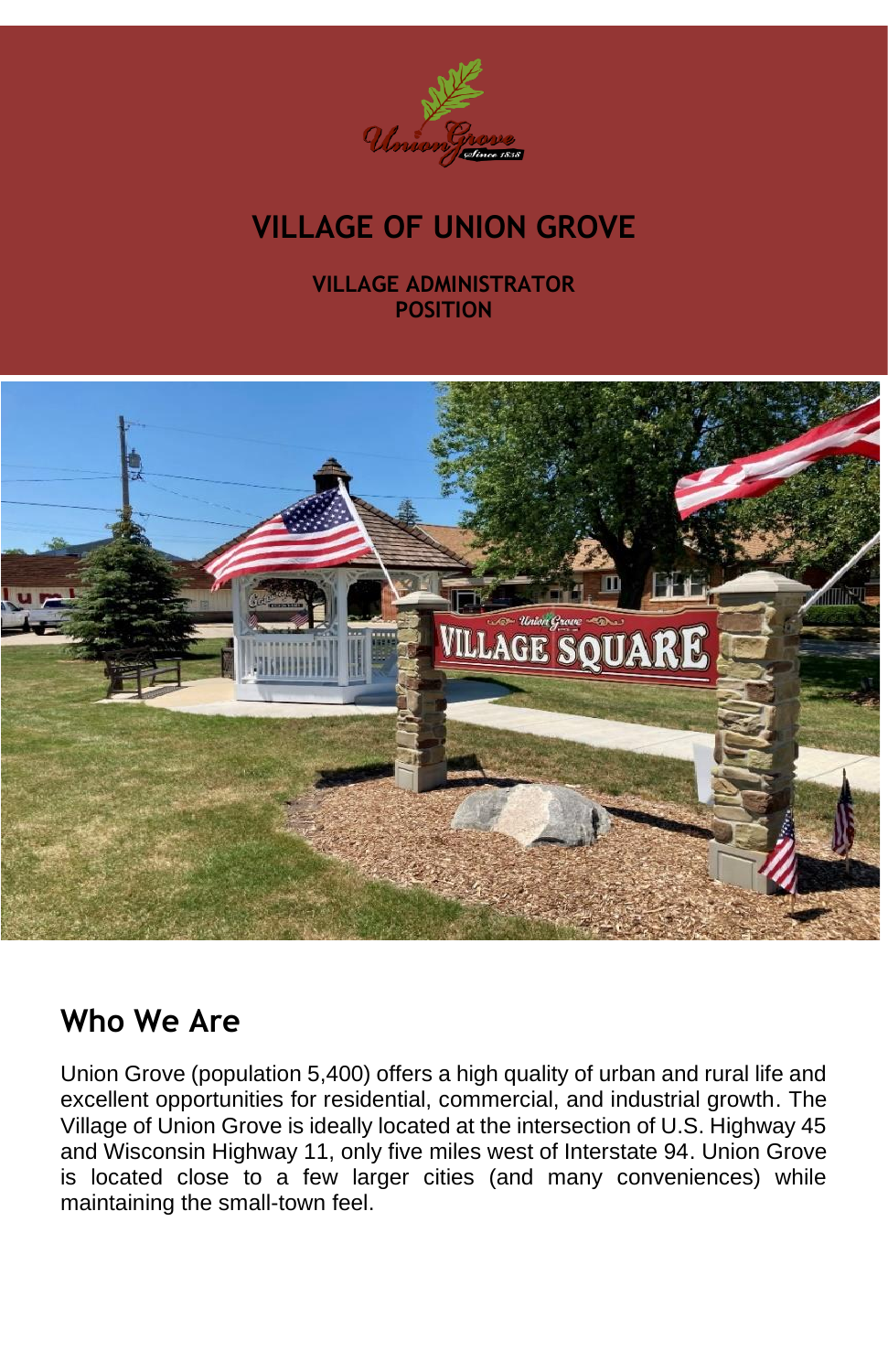

# **VILLAGE OF UNION GROVE**

#### **VILLAGE ADMINISTRATOR POSITION**



#### **Who We Are**

Union Grove (population 5,400) offers a high quality of urban and rural life and excellent opportunities for residential, commercial, and industrial growth. The Village of Union Grove is ideally located at the intersection of U.S. Highway 45 and Wisconsin Highway 11, only five miles west of Interstate 94. Union Grove is located close to a few larger cities (and many conveniences) while maintaining the small-town feel.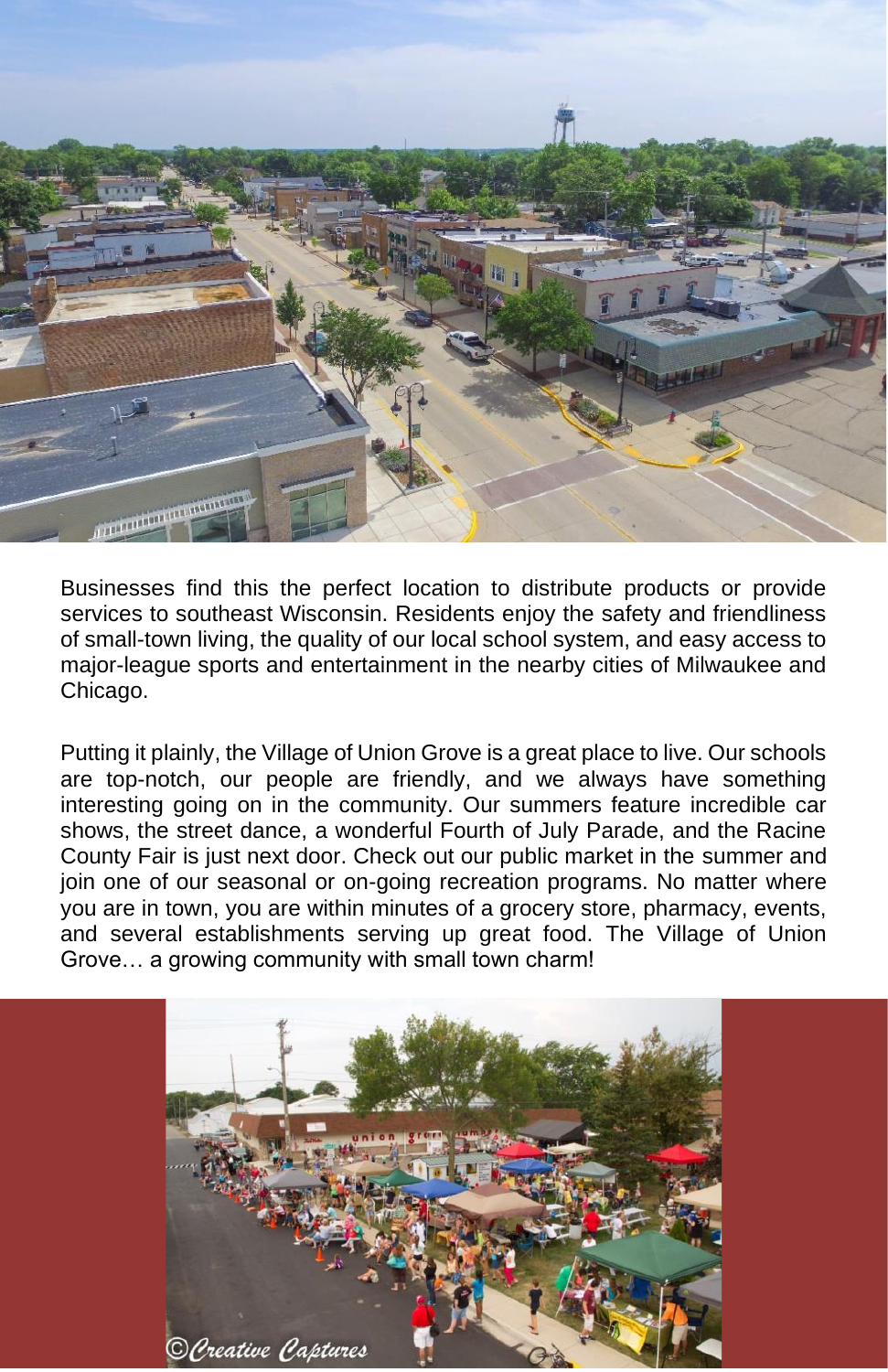

Businesses find this the perfect location to distribute products or provide services to southeast Wisconsin. Residents enjoy the safety and friendliness of small-town living, the quality of our local school system, and easy access to major-league sports and entertainment in the nearby cities of Milwaukee and Chicago.

Putting it plainly, the Village of Union Grove is a great place to live. Our schools are top-notch, our people are friendly, and we always have something interesting going on in the community. Our summers feature incredible car shows, the street dance, a wonderful Fourth of July Parade, and the Racine County Fair is just next door. Check out our public market in the summer and join one of our seasonal or on-going recreation programs. No matter where you are in town, you are within minutes of a grocery store, pharmacy, events, and several establishments serving up great food. The Village of Union Grove… a growing community with small town charm!

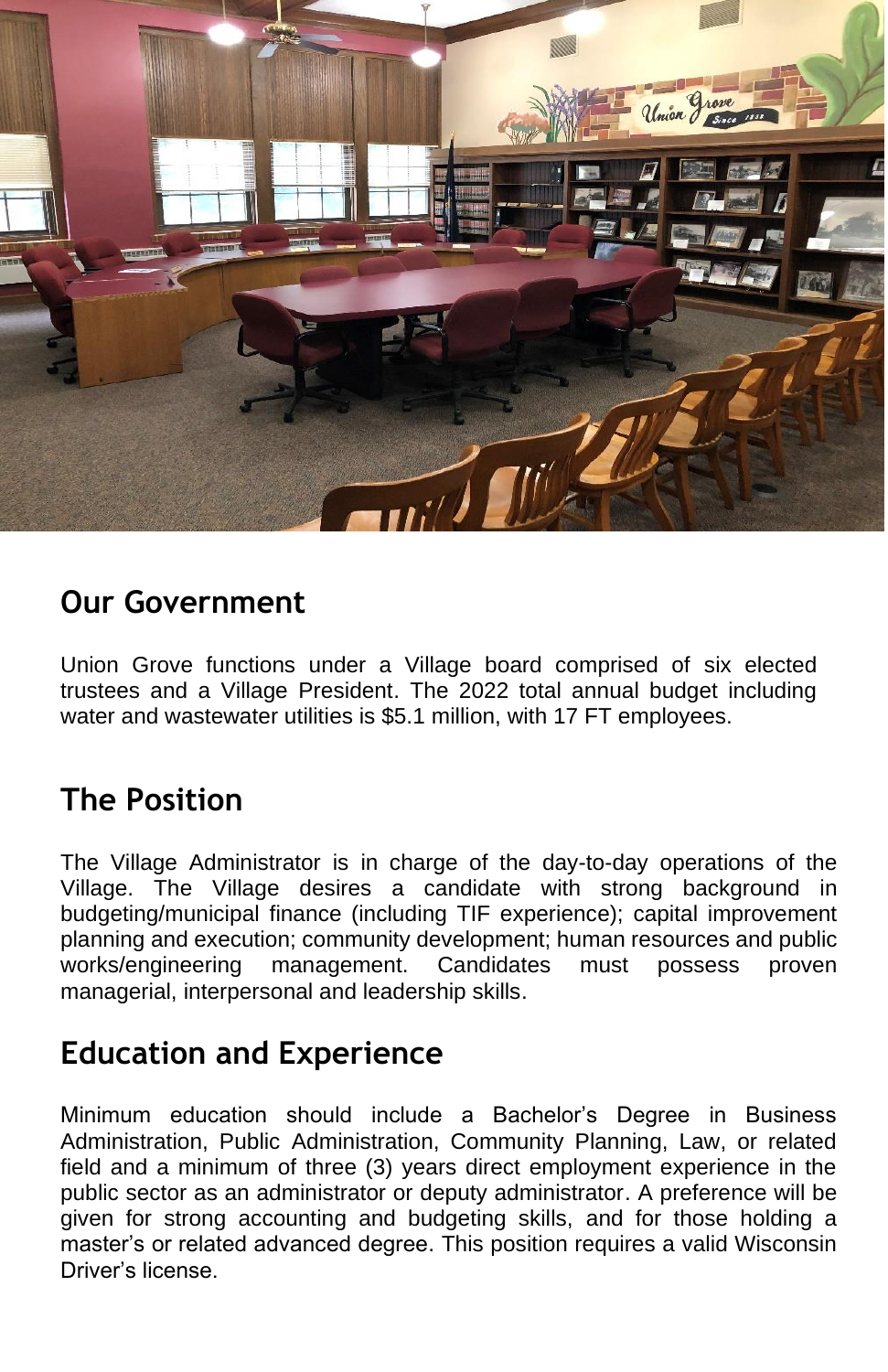

#### **Our Government**

Union Grove functions under a Village board comprised of six elected trustees and a Village President. The 2022 total annual budget including water and wastewater utilities is \$5.1 million, with 17 FT employees.

## **The Position**

The Village Administrator is in charge of the day-to-day operations of the Village. The Village desires a candidate with strong background in budgeting/municipal finance (including TIF experience); capital improvement planning and execution; community development; human resources and public works/engineering management. Candidates must possess proven managerial, interpersonal and leadership skills.

## **Education and Experience**

Minimum education should include a Bachelor's Degree in Business Administration, Public Administration, Community Planning, Law, or related field and a minimum of three (3) years direct employment experience in the public sector as an administrator or deputy administrator. A preference will be given for strong accounting and budgeting skills, and for those holding a master's or related advanced degree. This position requires a valid Wisconsin Driver's license.